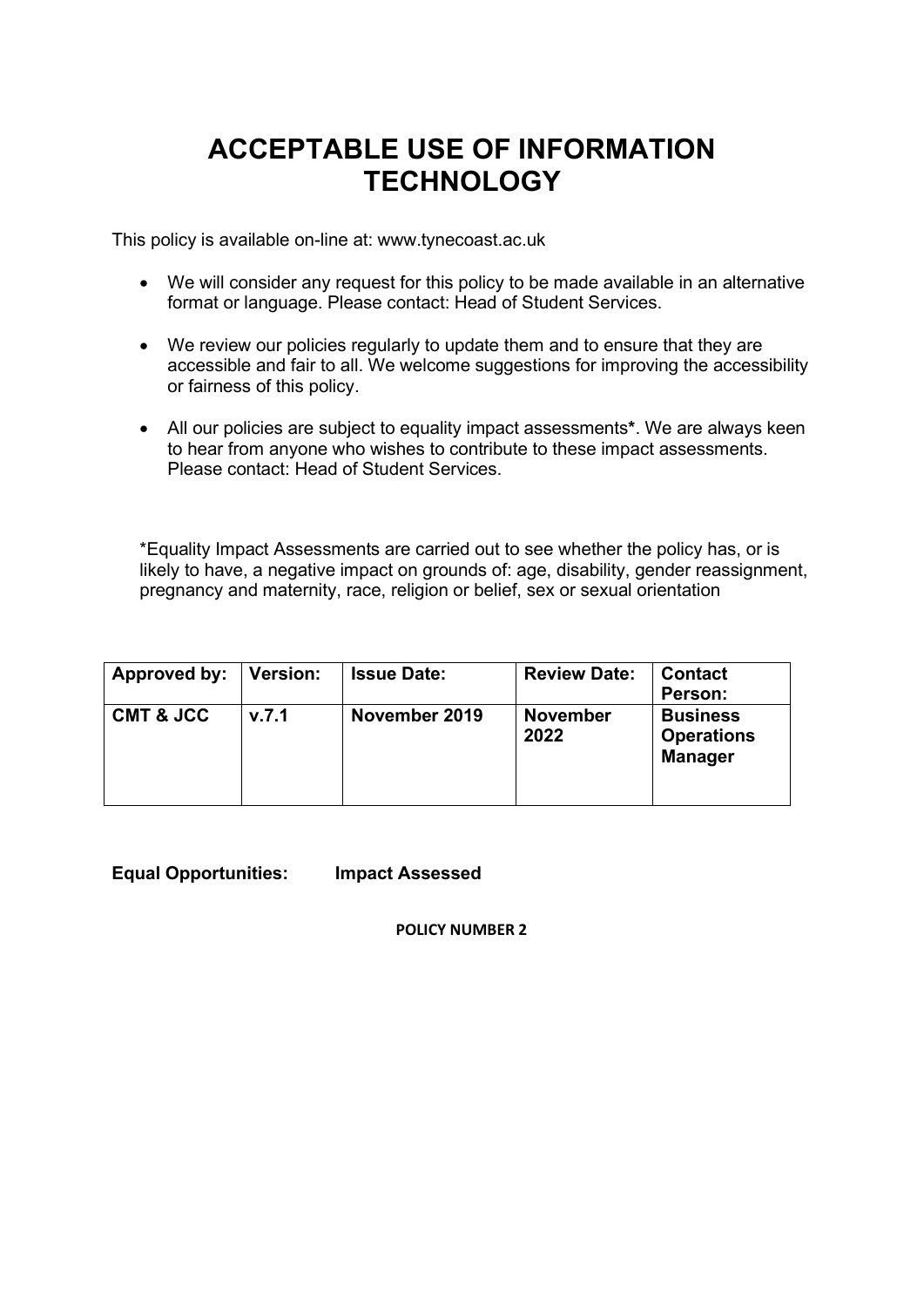# **ACCEPTABLE USE OF INFORMATION TECHNOLOGY**

This policy is available on-line at: www.tynecoast.ac.uk

- We will consider any request for this policy to be made available in an alternative format or language. Please contact: Head of Student Services.
- We review our policies regularly to update them and to ensure that they are accessible and fair to all. We welcome suggestions for improving the accessibility or fairness of this policy.
- All our policies are subject to equality impact assessments**\***. We are always keen to hear from anyone who wishes to contribute to these impact assessments. Please contact: Head of Student Services.

\*Equality Impact Assessments are carried out to see whether the policy has, or is likely to have, a negative impact on grounds of: age, disability, gender reassignment, pregnancy and maternity, race, religion or belief, sex or sexual orientation

| Approved by:         | Version: | <b>Issue Date:</b> | <b>Review Date:</b>     | <b>Contact</b><br>Person:                              |
|----------------------|----------|--------------------|-------------------------|--------------------------------------------------------|
| <b>CMT &amp; JCC</b> | v.7.1    | November 2019      | <b>November</b><br>2022 | <b>Business</b><br><b>Operations</b><br><b>Manager</b> |

**Equal Opportunities: Impact Assessed** 

**POLICY NUMBER 2**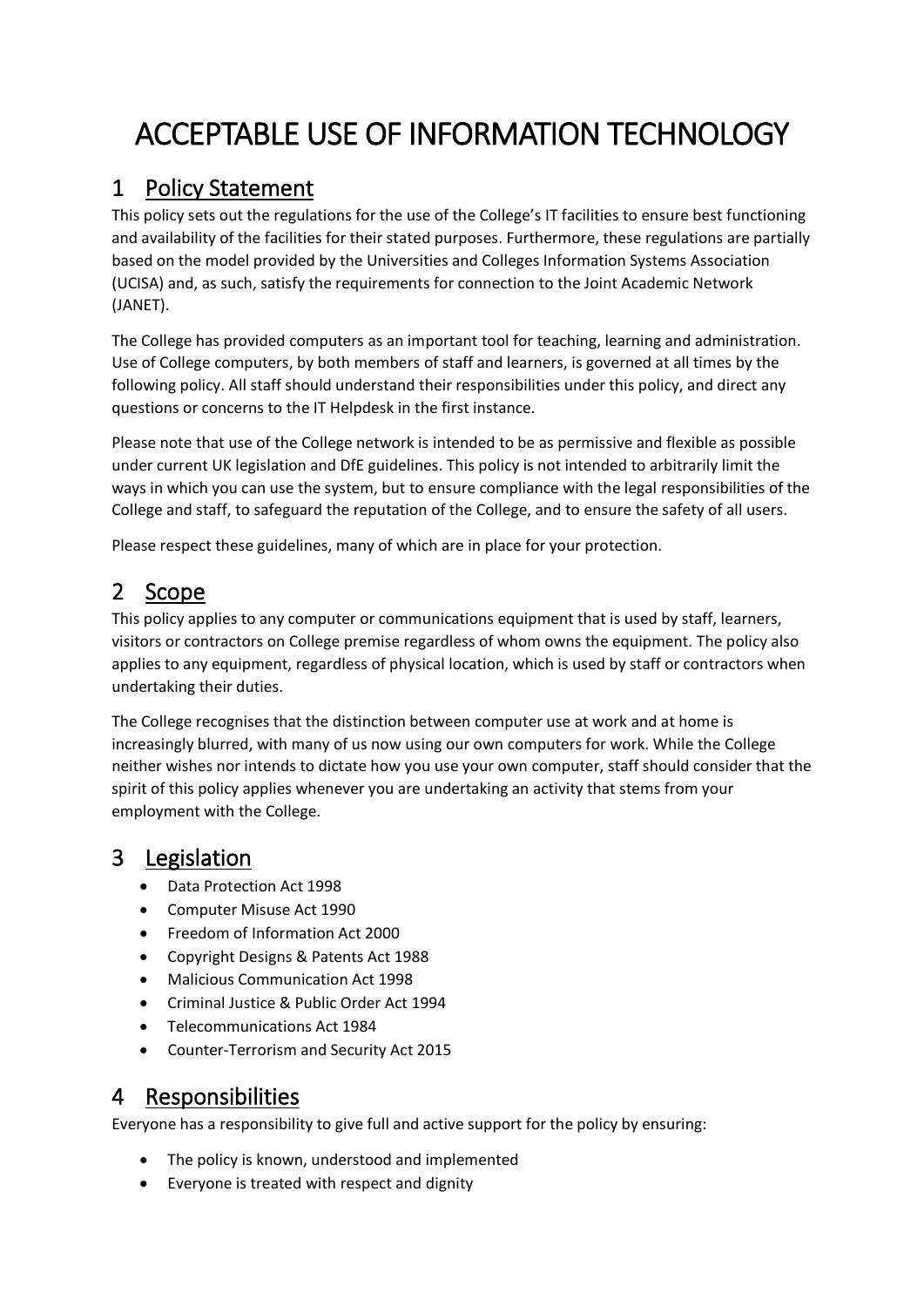# ACCEPTABLE USE OF INFORMATION TECHNOLOGY

### 1 Policy Statement

This policy sets out the regulations for the use of the College's IT facilities to ensure best functioning and availability of the facilities for their stated purposes. Furthermore, these regulations are partially based on the model provided by the Universities and Colleges Information Systems Association (UCISA) and, as such, satisfy the requirements for connection to the Joint Academic Network (JANET).

The College has provided computers as an important tool for teaching, learning and administration. Use of College computers, by both members of staff and learners, is governed at all times by the following policy. All staff should understand their responsibilities under this policy, and direct any questions or concerns to the IT Helpdesk in the first instance.

Please note that use of the College network is intended to be as permissive and flexible as possible under current UK legislation and DfE guidelines. This policy is not intended to arbitrarily limit the ways in which you can use the system, but to ensure compliance with the legal responsibilities of the College and staff, to safeguard the reputation of the College, and to ensure the safety of all users.

Please respect these guidelines, many of which are in place for your protection.

### 2 Scope

This policy applies to any computer or communications equipment that is used by staff, learners, visitors or contractors on College premise regardless of whom owns the equipment. The policy also applies to any equipment, regardless of physical location, which is used by staff or contractors when undertaking their duties.

The College recognises that the distinction between computer use at work and at home is increasingly blurred, with many of us now using our own computers for work. While the College neither wishes nor intends to dictate how you use your own computer, staff should consider that the spirit of this policy applies whenever you are undertaking an activity that stems from your employment with the College.

### 3 Legislation

- Data Protection Act 1998
- Computer Misuse Act 1990
- Freedom of Information Act 2000
- Copyright Designs & Patents Act 1988
- Malicious Communication Act 1998
- Criminal Justice & Public Order Act 1994
- Telecommunications Act 1984
- Counter-Terrorism and Security Act 2015

### 4 Responsibilities

Everyone has a responsibility to give full and active support for the policy by ensuring:

- The policy is known, understood and implemented
- Everyone is treated with respect and dignity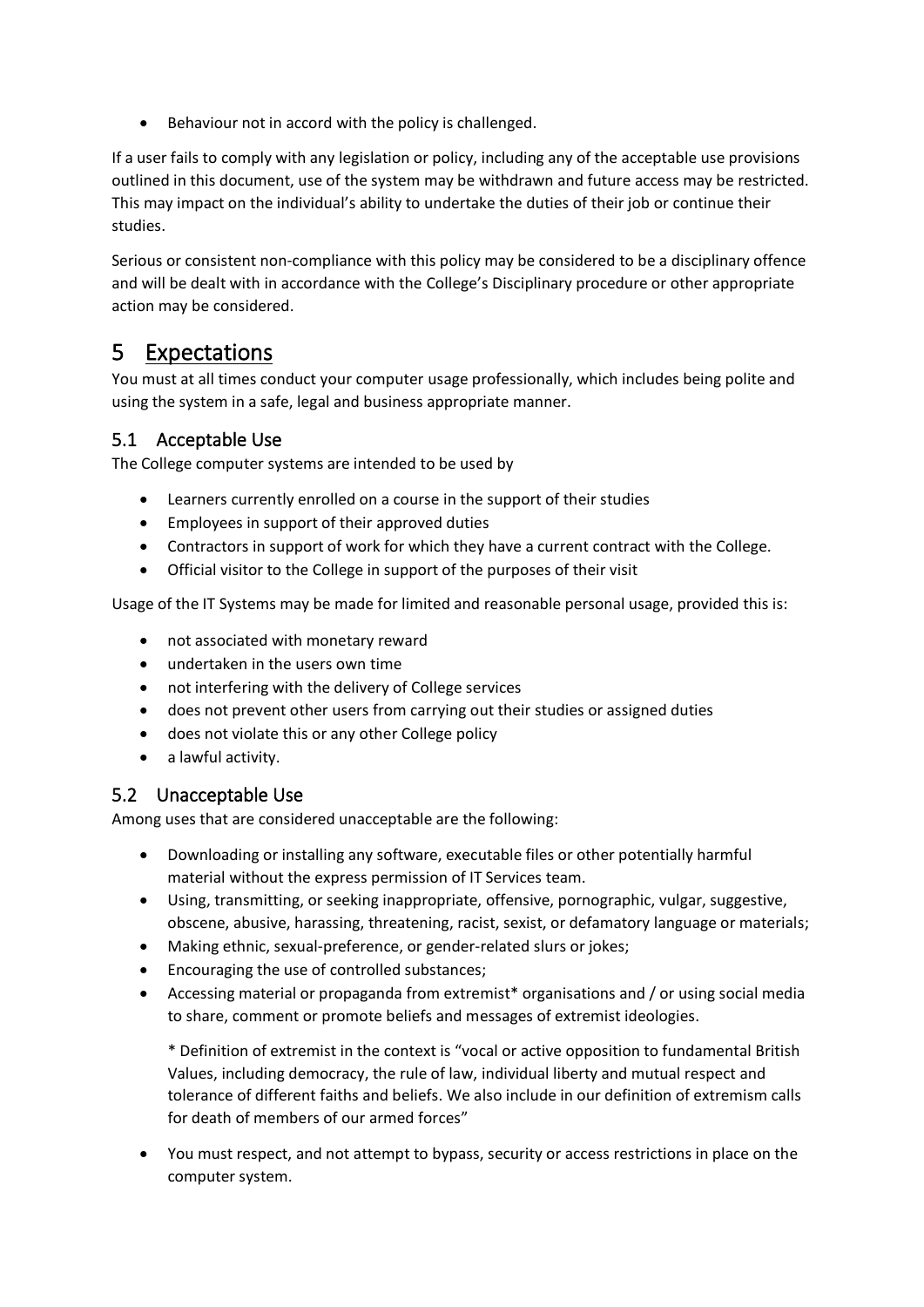• Behaviour not in accord with the policy is challenged.

If a user fails to comply with any legislation or policy, including any of the acceptable use provisions outlined in this document, use of the system may be withdrawn and future access may be restricted. This may impact on the individual's ability to undertake the duties of their job or continue their studies.

Serious or consistent non-compliance with this policy may be considered to be a disciplinary offence and will be dealt with in accordance with the College's Disciplinary procedure or other appropriate action may be considered.

### 5 Expectations

You must at all times conduct your computer usage professionally, which includes being polite and using the system in a safe, legal and business appropriate manner.

### 5.1 Acceptable Use

The College computer systems are intended to be used by

- Learners currently enrolled on a course in the support of their studies
- Employees in support of their approved duties
- Contractors in support of work for which they have a current contract with the College.
- Official visitor to the College in support of the purposes of their visit

Usage of the IT Systems may be made for limited and reasonable personal usage, provided this is:

- not associated with monetary reward
- undertaken in the users own time
- not interfering with the delivery of College services
- does not prevent other users from carrying out their studies or assigned duties
- does not violate this or any other College policy
- a lawful activity.

#### 5.2 Unacceptable Use

Among uses that are considered unacceptable are the following:

- Downloading or installing any software, executable files or other potentially harmful material without the express permission of IT Services team.
- Using, transmitting, or seeking inappropriate, offensive, pornographic, vulgar, suggestive, obscene, abusive, harassing, threatening, racist, sexist, or defamatory language or materials;
- Making ethnic, sexual-preference, or gender-related slurs or jokes;
- Encouraging the use of controlled substances;
- Accessing material or propaganda from extremist\* organisations and / or using social media to share, comment or promote beliefs and messages of extremist ideologies.

\* Definition of extremist in the context is "vocal or active opposition to fundamental British Values, including democracy, the rule of law, individual liberty and mutual respect and tolerance of different faiths and beliefs. We also include in our definition of extremism calls for death of members of our armed forces"

• You must respect, and not attempt to bypass, security or access restrictions in place on the computer system.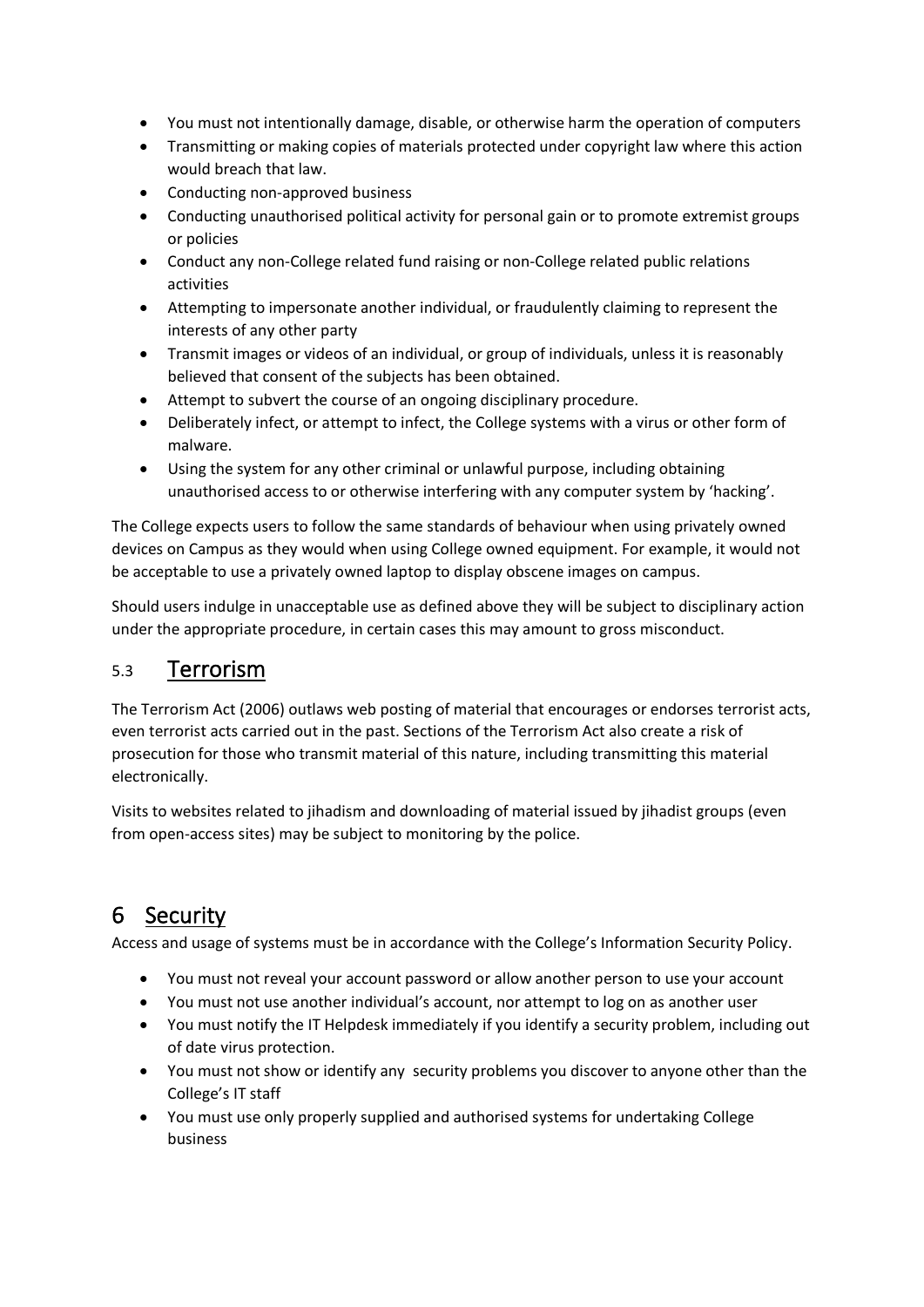- You must not intentionally damage, disable, or otherwise harm the operation of computers
- Transmitting or making copies of materials protected under copyright law where this action would breach that law.
- Conducting non-approved business
- Conducting unauthorised political activity for personal gain or to promote extremist groups or policies
- Conduct any non-College related fund raising or non-College related public relations activities
- Attempting to impersonate another individual, or fraudulently claiming to represent the interests of any other party
- Transmit images or videos of an individual, or group of individuals, unless it is reasonably believed that consent of the subjects has been obtained.
- Attempt to subvert the course of an ongoing disciplinary procedure.
- Deliberately infect, or attempt to infect, the College systems with a virus or other form of malware.
- Using the system for any other criminal or unlawful purpose, including obtaining unauthorised access to or otherwise interfering with any computer system by 'hacking'.

The College expects users to follow the same standards of behaviour when using privately owned devices on Campus as they would when using College owned equipment. For example, it would not be acceptable to use a privately owned laptop to display obscene images on campus.

Should users indulge in unacceptable use as defined above they will be subject to disciplinary action under the appropriate procedure, in certain cases this may amount to gross misconduct.

### 5.3 Terrorism

The Terrorism Act (2006) outlaws web posting of material that encourages or endorses terrorist acts, even terrorist acts carried out in the past. Sections of the Terrorism Act also create a risk of prosecution for those who transmit material of this nature, including transmitting this material electronically.

Visits to websites related to jihadism and downloading of material issued by jihadist groups (even from open-access sites) may be subject to monitoring by the police.

## 6 Security

Access and usage of systems must be in accordance with the College's Information Security Policy.

- You must not reveal your account password or allow another person to use your account
- You must not use another individual's account, nor attempt to log on as another user
- You must notify the IT Helpdesk immediately if you identify a security problem, including out of date virus protection.
- You must not show or identify any security problems you discover to anyone other than the College's IT staff
- You must use only properly supplied and authorised systems for undertaking College business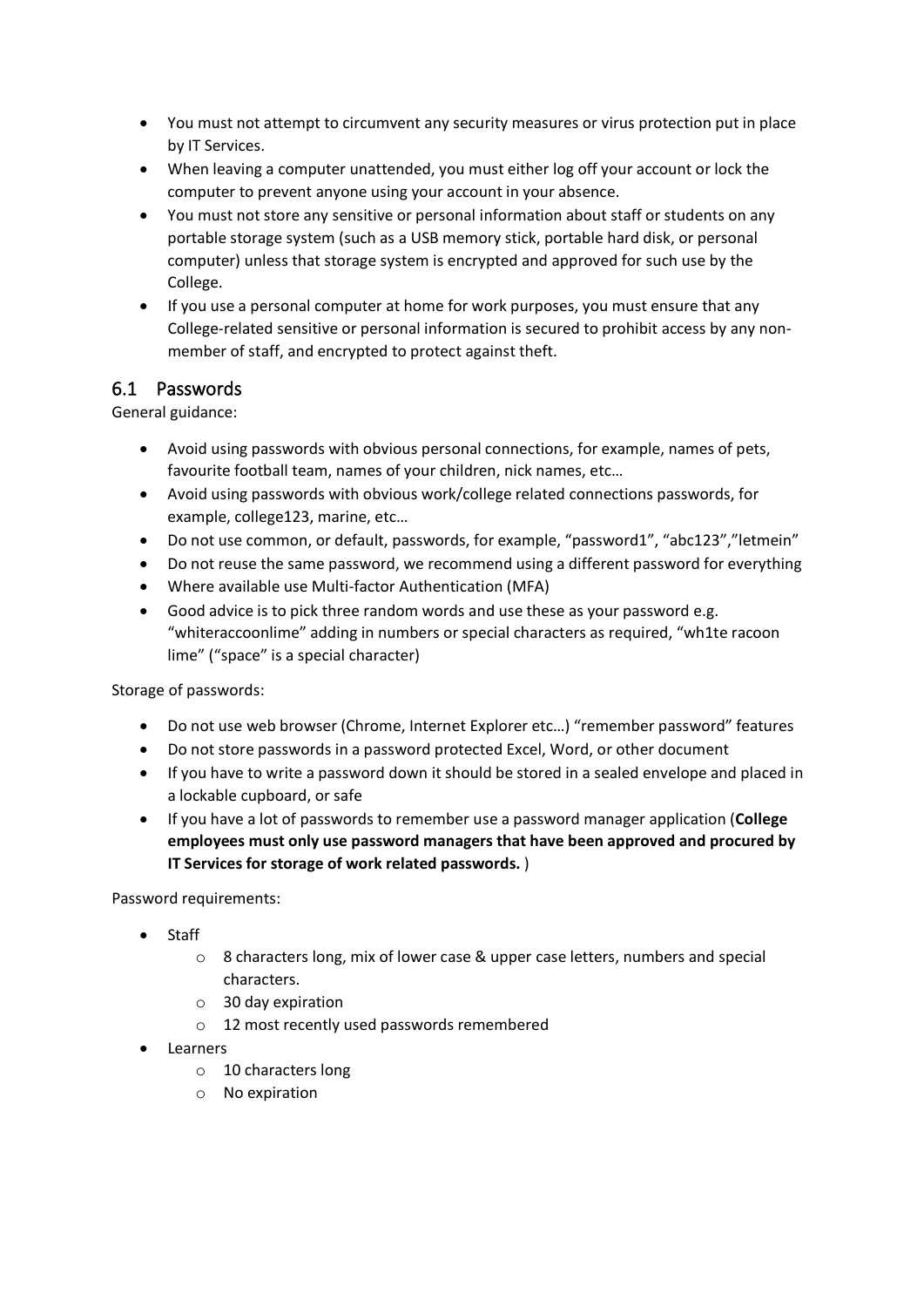- You must not attempt to circumvent any security measures or virus protection put in place by IT Services.
- When leaving a computer unattended, you must either log off your account or lock the computer to prevent anyone using your account in your absence.
- You must not store any sensitive or personal information about staff or students on any portable storage system (such as a USB memory stick, portable hard disk, or personal computer) unless that storage system is encrypted and approved for such use by the College.
- If you use a personal computer at home for work purposes, you must ensure that any College-related sensitive or personal information is secured to prohibit access by any nonmember of staff, and encrypted to protect against theft.

#### 6.1 Passwords

General guidance:

- Avoid using passwords with obvious personal connections, for example, names of pets, favourite football team, names of your children, nick names, etc…
- Avoid using passwords with obvious work/college related connections passwords, for example, college123, marine, etc…
- Do not use common, or default, passwords, for example, "password1", "abc123","letmein"
- Do not reuse the same password, we recommend using a different password for everything
- Where available use Multi-factor Authentication (MFA)
- Good advice is to pick three random words and use these as your password e.g. "whiteraccoonlime" adding in numbers or special characters as required, "wh1te racoon lime" ("space" is a special character)

Storage of passwords:

- Do not use web browser (Chrome, Internet Explorer etc...) "remember password" features
- Do not store passwords in a password protected Excel, Word, or other document
- If you have to write a password down it should be stored in a sealed envelope and placed in a lockable cupboard, or safe
- If you have a lot of passwords to remember use a password manager application (**College employees must only use password managers that have been approved and procured by IT Services for storage of work related passwords.** )

Password requirements:

- Staff
	- o 8 characters long, mix of lower case & upper case letters, numbers and special characters.
	- o 30 day expiration
	- o 12 most recently used passwords remembered
- **Learners** 
	- o 10 characters long
	- o No expiration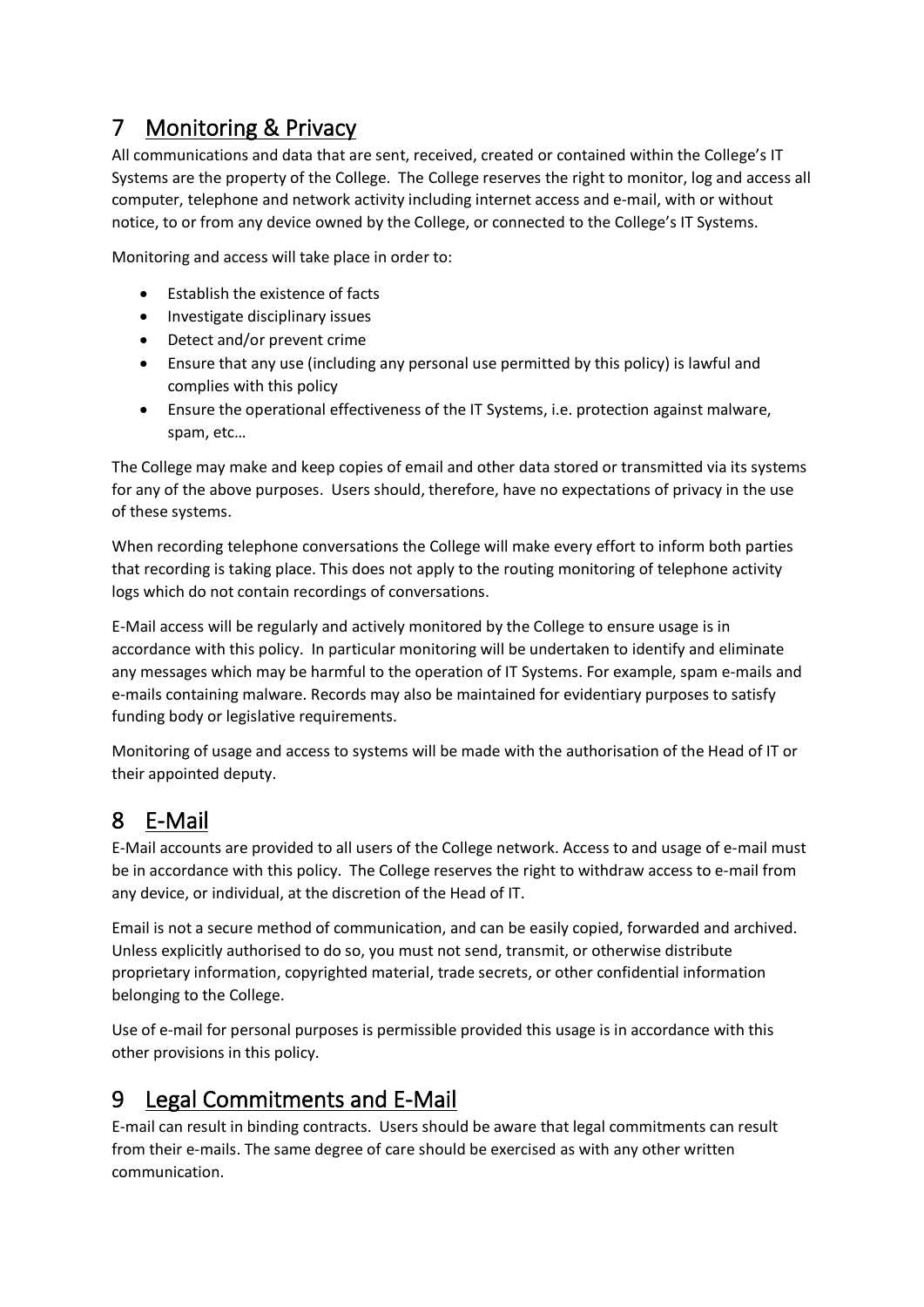# 7 Monitoring & Privacy

All communications and data that are sent, received, created or contained within the College's IT Systems are the property of the College. The College reserves the right to monitor, log and access all computer, telephone and network activity including internet access and e-mail, with or without notice, to or from any device owned by the College, or connected to the College's IT Systems.

Monitoring and access will take place in order to:

- Establish the existence of facts
- Investigate disciplinary issues
- Detect and/or prevent crime
- Ensure that any use (including any personal use permitted by this policy) is lawful and complies with this policy
- Ensure the operational effectiveness of the IT Systems, i.e. protection against malware, spam, etc…

The College may make and keep copies of email and other data stored or transmitted via its systems for any of the above purposes. Users should, therefore, have no expectations of privacy in the use of these systems.

When recording telephone conversations the College will make every effort to inform both parties that recording is taking place. This does not apply to the routing monitoring of telephone activity logs which do not contain recordings of conversations.

E-Mail access will be regularly and actively monitored by the College to ensure usage is in accordance with this policy. In particular monitoring will be undertaken to identify and eliminate any messages which may be harmful to the operation of IT Systems. For example, spam e-mails and e-mails containing malware. Records may also be maintained for evidentiary purposes to satisfy funding body or legislative requirements.

Monitoring of usage and access to systems will be made with the authorisation of the Head of IT or their appointed deputy.

## 8 E-Mail

E-Mail accounts are provided to all users of the College network. Access to and usage of e-mail must be in accordance with this policy. The College reserves the right to withdraw access to e-mail from any device, or individual, at the discretion of the Head of IT.

Email is not a secure method of communication, and can be easily copied, forwarded and archived. Unless explicitly authorised to do so, you must not send, transmit, or otherwise distribute proprietary information, copyrighted material, trade secrets, or other confidential information belonging to the College.

Use of e-mail for personal purposes is permissible provided this usage is in accordance with this other provisions in this policy.

### 9 Legal Commitments and E-Mail

E-mail can result in binding contracts. Users should be aware that legal commitments can result from their e-mails. The same degree of care should be exercised as with any other written communication.